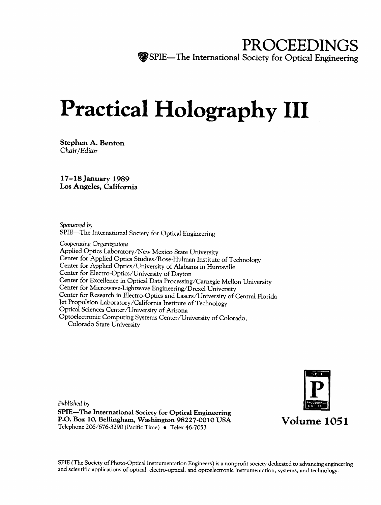## PROCEEDINGS **The International Society for Optical Engineering**

# Practical Holography III

Stephen A. Benton Chair/Editor

17-18 January 1989 Los Angeles, California

Sponsored by

SPIE—The International Society for Optical Engineering

Cooperating Organizations<br>Applied Optics Laboratory/New Mexico State University Center for Applied Optics Studies/Rose-Hulman Institute of Technology<br>Center for Applied Optics/University of Alabama in Huntsville Center for Electro-Optics/University of Dayton Center for Microwave-Lightwave Engineering/Drexel University<br>Center for Research in Electro-Optics and Lasers/University of Central Florida Jet Propulsion Laboratory/California Institute of Technology Optical Sciences Center/University of Arizona Optoelectronic Computing Systems Center/University of Colorado, Colorado State University

Published by SPIE—The International Society for Optical Engineering P.O. Box 10, Bellingham, Washington 98227-0010 USA Telephone 206/676-3290 (Pacific Time) • Telex 46-7053



SPIE (The Society of Photo-Optical Instrumentation Engineers) is a nonprofit society dedicated to advancing engineering<br>and scientific applications of optical, electro-optical, and optoelectronic instrumentation, systems,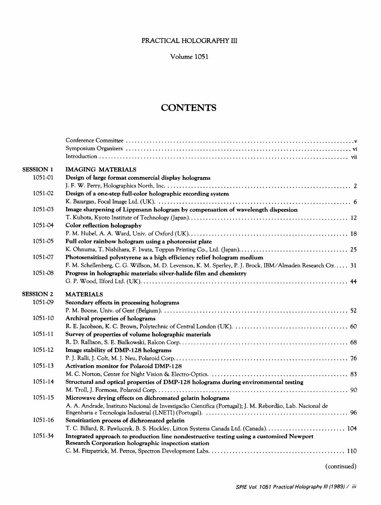#### PRACTICAL HOLOGRAPHY III

Volume 1051

## **CONTENTS**

| <b>SESSION 1</b> | <b>IMAGING MATERIALS</b>                                                                                   |
|------------------|------------------------------------------------------------------------------------------------------------|
| 1051-01          | Design of large format commercial display holograms                                                        |
|                  |                                                                                                            |
| 1051-02          | Design of a one-step full-color holographic recording system                                               |
|                  |                                                                                                            |
| 1051-03          | Image sharpening of Lippmann hologram by compensation of wavelength dispersion                             |
|                  |                                                                                                            |
| 1051-04          | Color reflection holography                                                                                |
|                  |                                                                                                            |
| 1051-05          | Full color rainbow hologram using a photoresist plate                                                      |
|                  |                                                                                                            |
| 1051-07          | Photosensitized polystyrene as a high efficiency relief hologram medium                                    |
|                  | F. M. Schellenberg, C. G. Willson, M. D. Levenson, K. M. Sperley, P. J. Brock, IBM/Almaden Research Ctr 31 |
| 1051-08          | Progress in holographic materials: silver-halide film and chemistry                                        |
|                  |                                                                                                            |
| <b>SESSION 2</b> | <b>MATERIALS</b>                                                                                           |
| 1051-09          | Secondary effects in processing holograms                                                                  |
|                  |                                                                                                            |
| 1051-10          | Archival properties of holograms                                                                           |
|                  |                                                                                                            |
| 1051-11          | Survey of properties of volume holographic materials                                                       |
|                  |                                                                                                            |
| 1051-12          | Image stability of DMP-128 holograms                                                                       |
|                  |                                                                                                            |
| 1051-13          | <b>Activation monitor for Polaroid DMP-128</b>                                                             |
|                  |                                                                                                            |
| 1051-14          | Structural and optical properties of DMP-128 holograms during environmental testing                        |
|                  |                                                                                                            |
| 1051-15          | Microwave drying effects on dichromated gelatin holograms                                                  |
|                  | A. A. Andrade, Instituto Nacional de Investigação Cientifica (Portugal); J. M. Rebordão, Lab. Nacional de  |
| 1051-16          | Sensitization process of dichromated gelatin                                                               |
|                  | T. C. Billard, R. Pawluczyk, B. S. Hockley, Litton Systems Canada Ltd. (Canada) 104                        |
| 1051-34          | Integrated approach to production line nondestructive testing using a customized Newport                   |
|                  | Research Corporation holographic inspection station                                                        |
|                  |                                                                                                            |
|                  |                                                                                                            |

(continued)